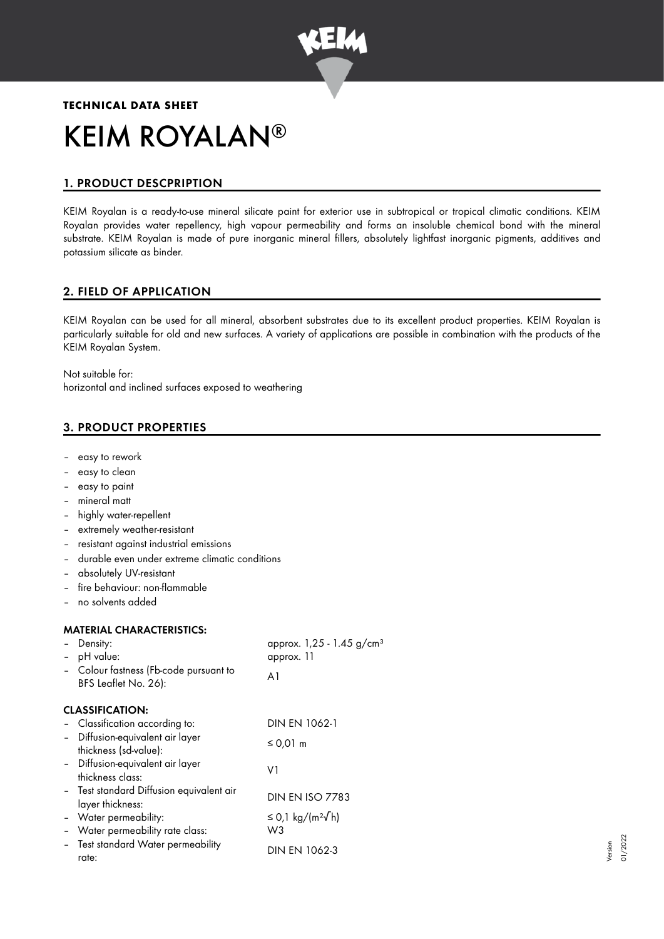

# **TECHNICAL DATA SHEET** KEIM ROYALAN ®

# 1. PRODUCT DESCPRIPTION

KEIM Royalan is a ready-to-use mineral silicate paint for exterior use in subtropical or tropical climatic conditions. KEIM Royalan provides water repellency, high vapour permeability and forms an insoluble chemical bond with the mineral substrate. KEIM Royalan is made of pure inorganic mineral fillers, absolutely lightfast inorganic pigments, additives and potassium silicate as binder.

# 2. FIELD OF APPLICATION

KEIM Royalan can be used for all mineral, absorbent substrates due to its excellent product properties. KEIM Royalan is particularly suitable for old and new surfaces. A variety of applications are possible in combination with the products of the KEIM Royalan System.

Not suitable for: horizontal and inclined surfaces exposed to weathering

# 3. PRODUCT PROPERTIES

- easy to rework
- easy to clean
- easy to paint
- mineral matt
- highly water-repellent
- extremely weather-resistant
- resistant against industrial emissions
- durable even under extreme climatic conditions
- absolutely UV-resistant
- fire behaviour: non-flammable
- no solvents added

#### MATERIAL CHARACTERISTICS:

|                          | Density:                                 | approx. 1,25 - 1.45 g/cm <sup>3</sup> |  |
|--------------------------|------------------------------------------|---------------------------------------|--|
|                          | pH value:                                | approx. 11                            |  |
|                          | - Colour fastness (Fb-code pursuant to   | A1                                    |  |
|                          | BFS Leaflet No. 26):                     |                                       |  |
|                          | <b>CLASSIFICATION:</b>                   |                                       |  |
|                          | - Classification according to:           | DIN EN 1062-1                         |  |
|                          | - Diffusion-equivalent air layer         | ≤ 0,01 m                              |  |
|                          | thickness (sd-value):                    |                                       |  |
|                          | - Diffusion-equivalent air layer         | V1                                    |  |
|                          | thickness class:                         |                                       |  |
|                          | - Test standard Diffusion equivalent air | <b>DIN EN ISO 7783</b>                |  |
|                          | layer thickness:                         |                                       |  |
|                          | - Water permeability:                    | ≤ 0,1 kg/(m <sup>2</sup> √h)          |  |
| $\overline{\phantom{a}}$ | Water permeability rate class:           | W3                                    |  |
|                          | Test standard Water permeability         | <b>DIN EN 1062-3</b>                  |  |
|                          | rate:                                    |                                       |  |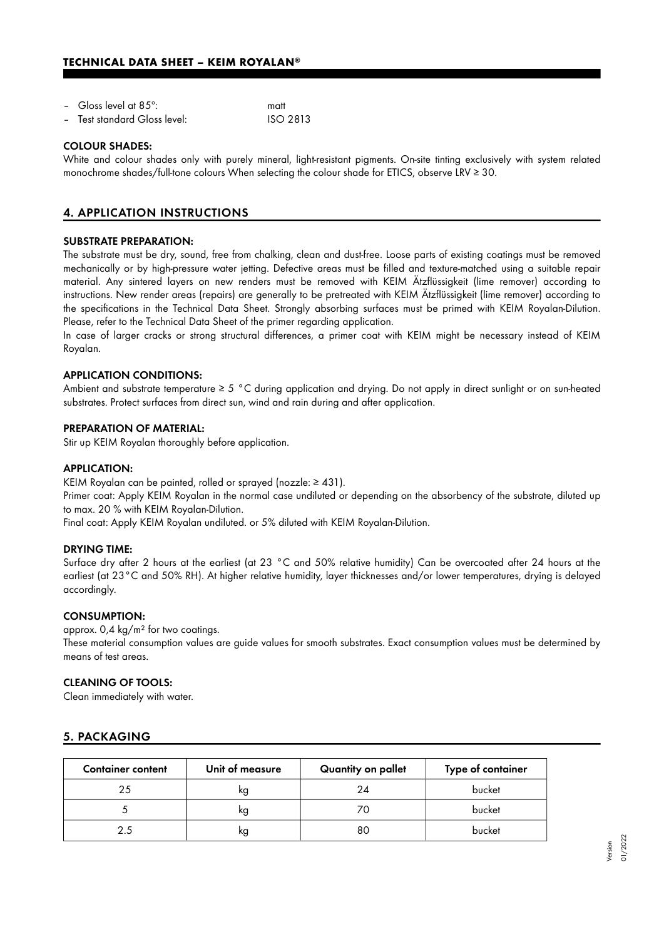#### **TECHNICAL DATA SHEET – KEIM ROYALAN®**

| - Gloss level at 85 $^{\circ}$ : |  | matt |  |  |
|----------------------------------|--|------|--|--|
|                                  |  |      |  |  |

– Test standard Gloss level: ISO 2813

#### COLOUR SHADES:

White and colour shades only with purely mineral, light-resistant pigments. On-site tinting exclusively with system related monochrome shades/full-tone colours When selecting the colour shade for ETICS, observe LRV ≥ 30.

## 4. APPLICATION INSTRUCTIONS

#### SUBSTRATE PREPARATION:

The substrate must be dry, sound, free from chalking, clean and dust-free. Loose parts of existing coatings must be removed mechanically or by high-pressure water jetting. Defective areas must be filled and texture-matched using a suitable repair material. Any sintered layers on new renders must be removed with KEIM Ätzflüssigkeit (lime remover) according to instructions. New render areas (repairs) are generally to be pretreated with KEIM Ätzflüssigkeit (lime remover) according to the specifications in the Technical Data Sheet. Strongly absorbing surfaces must be primed with KEIM Royalan-Dilution. Please, refer to the Technical Data Sheet of the primer regarding application.

In case of larger cracks or strong structural differences, a primer coat with KEIM might be necessary instead of KEIM Royalan.

#### APPLICATION CONDITIONS:

Ambient and substrate temperature ≥ 5 °C during application and drying. Do not apply in direct sunlight or on sun-heated substrates. Protect surfaces from direct sun, wind and rain during and after application.

#### PREPARATION OF MATERIAL:

Stir up KEIM Royalan thoroughly before application.

#### APPLICATION:

KEIM Royalan can be painted, rolled or sprayed (nozzle: ≥ 431).

Primer coat: Apply KEIM Royalan in the normal case undiluted or depending on the absorbency of the substrate, diluted up to max. 20 % with KEIM Royalan-Dilution.

Final coat: Apply KEIM Royalan undiluted. or 5% diluted with KEIM Royalan-Dilution.

#### DRYING TIME:

Surface dry after 2 hours at the earliest (at 23 °C and 50% relative humidity) Can be overcoated after 24 hours at the earliest (at 23°C and 50% RH). At higher relative humidity, layer thicknesses and/or lower temperatures, drying is delayed accordingly.

#### CONSUMPTION:

approx. 0,4 kg/m² for two coatings.

These material consumption values are guide values for smooth substrates. Exact consumption values must be determined by means of test areas.

#### CLEANING OF TOOLS:

Clean immediately with water.

## 5. PACKAGING

| <b>Container content</b> | Unit of measure | Quantity on pallet | Type of container |
|--------------------------|-----------------|--------------------|-------------------|
| 25                       | ĸg              | 24                 | bucket            |
|                          | kg              | 70                 | bucket            |
|                          | kg              | 80                 | bucket            |